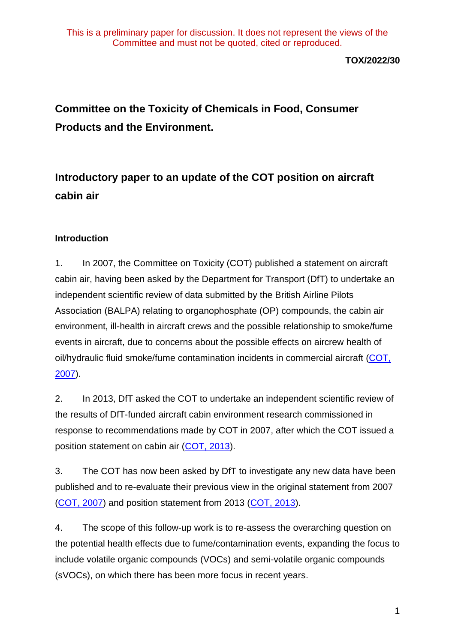**TOX/2022/30**

# **Committee on the Toxicity of Chemicals in Food, Consumer Products and the Environment.**

# **Introductory paper to an update of the COT position on aircraft cabin air**

### **Introduction**

1. In 2007, the Committee on Toxicity (COT) published a statement on aircraft cabin air, having been asked by the Department for Transport (DfT) to undertake an independent scientific review of data submitted by the British Airline Pilots Association (BALPA) relating to organophosphate (OP) compounds, the cabin air environment, ill-health in aircraft crews and the possible relationship to smoke/fume events in aircraft, due to concerns about the possible effects on aircrew health of oil/hydraulic fluid smoke/fume contamination incidents in commercial aircraft [\(COT,](https://webarchive.nationalarchives.gov.uk/ukgwa/20200803163453mp_/https:/cot.food.gov.uk/sites/default/files/cotstatementbalpa200706.pdf)  [2007\)](https://webarchive.nationalarchives.gov.uk/ukgwa/20200803163453mp_/https:/cot.food.gov.uk/sites/default/files/cotstatementbalpa200706.pdf).

2. In 2013, DfT asked the COT to undertake an independent scientific review of the results of DfT-funded aircraft cabin environment research commissioned in response to recommendations made by COT in 2007, after which the COT issued a position statement on cabin air [\(COT, 2013\)](https://webarchive.nationalarchives.gov.uk/ukgwa/20200803134320/https:/cot.food.gov.uk/cotstatements/cotstatementsyrs/cotstatements2013/cotpospacabair).

3. The COT has now been asked by DfT to investigate any new data have been published and to re-evaluate their previous view in the original statement from 2007 [\(COT, 2007\)](https://webarchive.nationalarchives.gov.uk/ukgwa/20200803163453mp_/https:/cot.food.gov.uk/sites/default/files/cotstatementbalpa200706.pdf) and position statement from 2013 [\(COT, 2013\)](https://webarchive.nationalarchives.gov.uk/ukgwa/20200803134320/https:/cot.food.gov.uk/cotstatements/cotstatementsyrs/cotstatements2013/cotpospacabair).

4. The scope of this follow-up work is to re-assess the overarching question on the potential health effects due to fume/contamination events, expanding the focus to include volatile organic compounds (VOCs) and semi-volatile organic compounds (sVOCs), on which there has been more focus in recent years.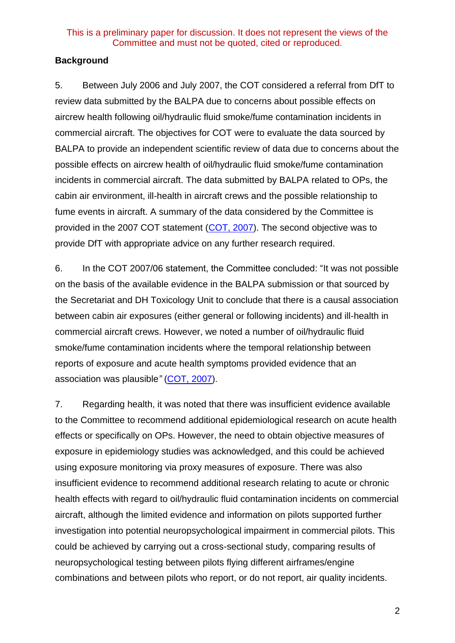### **Background**

5. Between July 2006 and July 2007, the COT considered a referral from DfT to review data submitted by the BALPA due to concerns about possible effects on aircrew health following oil/hydraulic fluid smoke/fume contamination incidents in commercial aircraft. The objectives for COT were to evaluate the data sourced by BALPA to provide an independent scientific review of data due to concerns about the possible effects on aircrew health of oil/hydraulic fluid smoke/fume contamination incidents in commercial aircraft. The data submitted by BALPA related to OPs, the cabin air environment, ill-health in aircraft crews and the possible relationship to fume events in aircraft. A summary of the data considered by the Committee is provided in the 2007 COT statement [\(COT, 2007\)](https://webarchive.nationalarchives.gov.uk/ukgwa/20200803163453mp_/https:/cot.food.gov.uk/sites/default/files/cotstatementbalpa200706.pdf). The second objective was to provide DfT with appropriate advice on any further research required.

6. In the COT 2007/06 statement, the Committee concluded: "It was not possible on the basis of the available evidence in the BALPA submission or that sourced by the Secretariat and DH Toxicology Unit to conclude that there is a causal association between cabin air exposures (either general or following incidents) and ill-health in commercial aircraft crews. However, we noted a number of oil/hydraulic fluid smoke/fume contamination incidents where the temporal relationship between reports of exposure and acute health symptoms provided evidence that an association was plausible*"* [\(COT, 2007\)](https://webarchive.nationalarchives.gov.uk/ukgwa/20200803163453mp_/https:/cot.food.gov.uk/sites/default/files/cotstatementbalpa200706.pdf).

7. Regarding health, it was noted that there was insufficient evidence available to the Committee to recommend additional epidemiological research on acute health effects or specifically on OPs. However, the need to obtain objective measures of exposure in epidemiology studies was acknowledged, and this could be achieved using exposure monitoring via proxy measures of exposure. There was also insufficient evidence to recommend additional research relating to acute or chronic health effects with regard to oil/hydraulic fluid contamination incidents on commercial aircraft, although the limited evidence and information on pilots supported further investigation into potential neuropsychological impairment in commercial pilots. This could be achieved by carrying out a cross-sectional study, comparing results of neuropsychological testing between pilots flying different airframes/engine combinations and between pilots who report, or do not report, air quality incidents.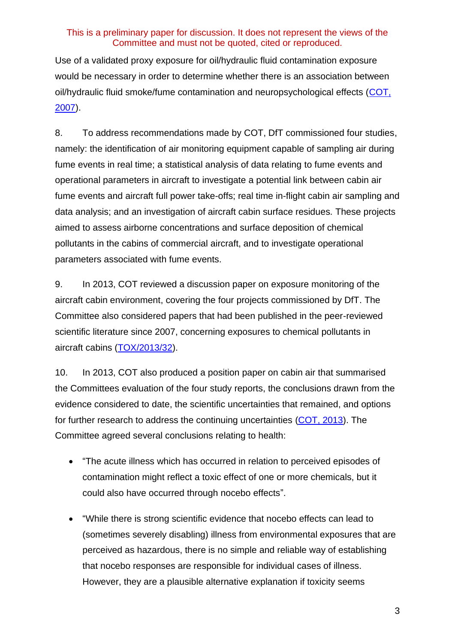Use of a validated proxy exposure for oil/hydraulic fluid contamination exposure would be necessary in order to determine whether there is an association between oil/hydraulic fluid smoke/fume contamination and neuropsychological effects [\(COT,](https://webarchive.nationalarchives.gov.uk/ukgwa/20200803163453mp_/https:/cot.food.gov.uk/sites/default/files/cotstatementbalpa200706.pdf)  [2007\)](https://webarchive.nationalarchives.gov.uk/ukgwa/20200803163453mp_/https:/cot.food.gov.uk/sites/default/files/cotstatementbalpa200706.pdf).

8. To address recommendations made by COT, DfT commissioned four studies, namely: the identification of air monitoring equipment capable of sampling air during fume events in real time; a statistical analysis of data relating to fume events and operational parameters in aircraft to investigate a potential link between cabin air fume events and aircraft full power take-offs; real time in-flight cabin air sampling and data analysis; and an investigation of aircraft cabin surface residues. These projects aimed to assess airborne concentrations and surface deposition of chemical pollutants in the cabins of commercial aircraft, and to investigate operational parameters associated with fume events.

9. In 2013, COT reviewed a discussion paper on exposure monitoring of the aircraft cabin environment, covering the four projects commissioned by DfT. The Committee also considered papers that had been published in the peer-reviewed scientific literature since 2007, concerning exposures to chemical pollutants in aircraft cabins [\(TOX/2013/32\)](https://cot.food.gov.uk/sites/default/files/cot/tox201332.pdf).

10. In 2013, COT also produced a position paper on cabin air that summarised the Committees evaluation of the four study reports, the conclusions drawn from the evidence considered to date, the scientific uncertainties that remained, and options for further research to address the continuing uncertainties [\(COT, 2013\)](https://webarchive.nationalarchives.gov.uk/ukgwa/20200803134320/https:/cot.food.gov.uk/cotstatements/cotstatementsyrs/cotstatements2013/cotpospacabair). The Committee agreed several conclusions relating to health:

- "The acute illness which has occurred in relation to perceived episodes of contamination might reflect a toxic effect of one or more chemicals, but it could also have occurred through nocebo effects".
- "While there is strong scientific evidence that nocebo effects can lead to (sometimes severely disabling) illness from environmental exposures that are perceived as hazardous, there is no simple and reliable way of establishing that nocebo responses are responsible for individual cases of illness. However, they are a plausible alternative explanation if toxicity seems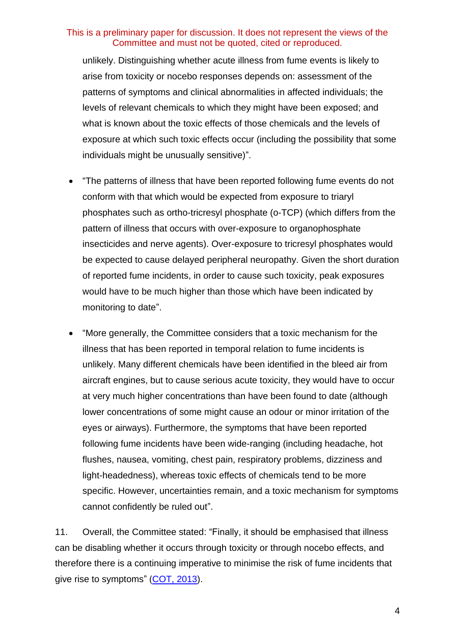unlikely. Distinguishing whether acute illness from fume events is likely to arise from toxicity or nocebo responses depends on: assessment of the patterns of symptoms and clinical abnormalities in affected individuals; the levels of relevant chemicals to which they might have been exposed; and what is known about the toxic effects of those chemicals and the levels of exposure at which such toxic effects occur (including the possibility that some individuals might be unusually sensitive)".

- "The patterns of illness that have been reported following fume events do not conform with that which would be expected from exposure to triaryl phosphates such as ortho-tricresyl phosphate (o-TCP) (which differs from the pattern of illness that occurs with over-exposure to organophosphate insecticides and nerve agents). Over-exposure to tricresyl phosphates would be expected to cause delayed peripheral neuropathy. Given the short duration of reported fume incidents, in order to cause such toxicity, peak exposures would have to be much higher than those which have been indicated by monitoring to date".
- "More generally, the Committee considers that a toxic mechanism for the illness that has been reported in temporal relation to fume incidents is unlikely. Many different chemicals have been identified in the bleed air from aircraft engines, but to cause serious acute toxicity, they would have to occur at very much higher concentrations than have been found to date (although lower concentrations of some might cause an odour or minor irritation of the eyes or airways). Furthermore, the symptoms that have been reported following fume incidents have been wide-ranging (including headache, hot flushes, nausea, vomiting, chest pain, respiratory problems, dizziness and light-headedness), whereas toxic effects of chemicals tend to be more specific. However, uncertainties remain, and a toxic mechanism for symptoms cannot confidently be ruled out".

11. Overall, the Committee stated: "Finally, it should be emphasised that illness can be disabling whether it occurs through toxicity or through nocebo effects, and therefore there is a continuing imperative to minimise the risk of fume incidents that give rise to symptoms" [\(COT, 2013\)](https://webarchive.nationalarchives.gov.uk/ukgwa/20200803134320/https:/cot.food.gov.uk/cotstatements/cotstatementsyrs/cotstatements2013/cotpospacabair).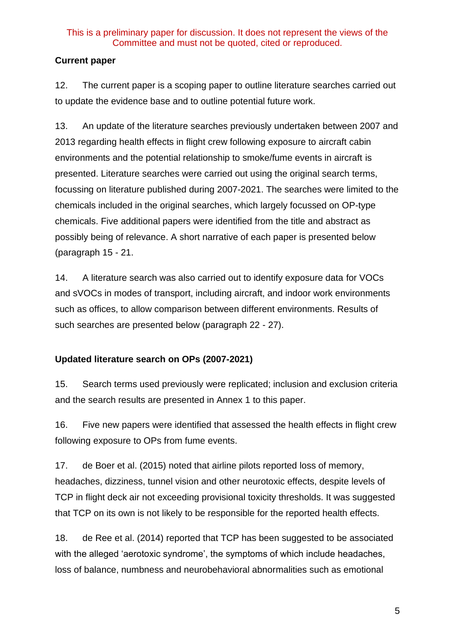# **Current paper**

12. The current paper is a scoping paper to outline literature searches carried out to update the evidence base and to outline potential future work.

13. An update of the literature searches previously undertaken between 2007 and 2013 regarding health effects in flight crew following exposure to aircraft cabin environments and the potential relationship to smoke/fume events in aircraft is presented. Literature searches were carried out using the original search terms, focussing on literature published during 2007-2021. The searches were limited to the chemicals included in the original searches, which largely focussed on OP-type chemicals. Five additional papers were identified from the title and abstract as possibly being of relevance. A short narrative of each paper is presented below (paragraph [15](#page-4-0) - 21.

14. A literature search was also carried out to identify exposure data for VOCs and sVOCs in modes of transport, including aircraft, and indoor work environments such as offices, to allow comparison between different environments. Results of such searches are presented below (paragraph 22 - 27).

# **Updated literature search on OPs (2007-2021)**

<span id="page-4-0"></span>15. Search terms used previously were replicated; inclusion and exclusion criteria and the search results are presented in Annex 1 to this paper.

16. Five new papers were identified that assessed the health effects in flight crew following exposure to OPs from fume events.

17. de Boer et al. (2015) noted that airline pilots reported loss of memory, headaches, dizziness, tunnel vision and other neurotoxic effects, despite levels of TCP in flight deck air not exceeding provisional toxicity thresholds. It was suggested that TCP on its own is not likely to be responsible for the reported health effects.

18. de Ree et al. (2014) reported that TCP has been suggested to be associated with the alleged 'aerotoxic syndrome', the symptoms of which include headaches, loss of balance, numbness and neurobehavioral abnormalities such as emotional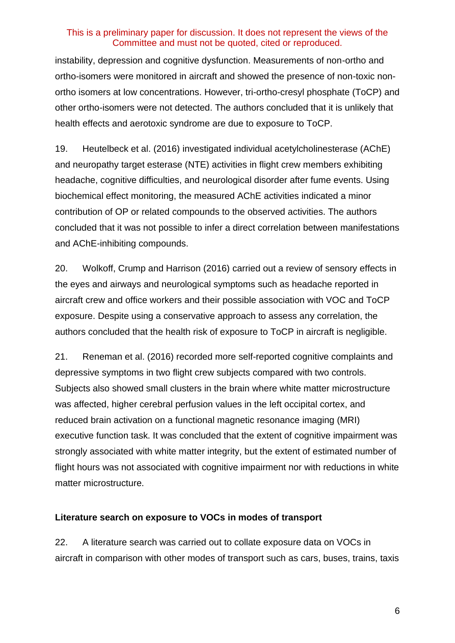instability, depression and cognitive dysfunction. Measurements of non-ortho and ortho-isomers were monitored in aircraft and showed the presence of non-toxic nonortho isomers at low concentrations. However, tri-ortho-cresyl phosphate (ToCP) and other ortho-isomers were not detected. The authors concluded that it is unlikely that health effects and aerotoxic syndrome are due to exposure to ToCP.

19. Heutelbeck et al. (2016) investigated individual acetylcholinesterase (AChE) and neuropathy target esterase (NTE) activities in flight crew members exhibiting headache, cognitive difficulties, and neurological disorder after fume events. Using biochemical effect monitoring, the measured AChE activities indicated a minor contribution of OP or related compounds to the observed activities. The authors concluded that it was not possible to infer a direct correlation between manifestations and AChE-inhibiting compounds.

20. Wolkoff, Crump and Harrison (2016) carried out a review of sensory effects in the eyes and airways and neurological symptoms such as headache reported in aircraft crew and office workers and their possible association with VOC and ToCP exposure. Despite using a conservative approach to assess any correlation, the authors concluded that the health risk of exposure to ToCP in aircraft is negligible.

21. Reneman et al. (2016) recorded more self-reported cognitive complaints and depressive symptoms in two flight crew subjects compared with two controls. Subjects also showed small clusters in the brain where white matter microstructure was affected, higher cerebral perfusion values in the left occipital cortex, and reduced brain activation on a functional magnetic resonance imaging (MRI) executive function task. It was concluded that the extent of cognitive impairment was strongly associated with white matter integrity, but the extent of estimated number of flight hours was not associated with cognitive impairment nor with reductions in white matter microstructure.

#### **Literature search on exposure to VOCs in modes of transport**

22. A literature search was carried out to collate exposure data on VOCs in aircraft in comparison with other modes of transport such as cars, buses, trains, taxis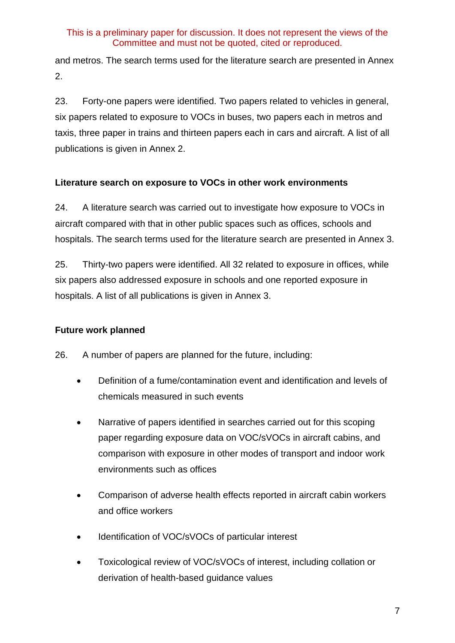and metros. The search terms used for the literature search are presented in Annex 2.

23. Forty-one papers were identified. Two papers related to vehicles in general, six papers related to exposure to VOCs in buses, two papers each in metros and taxis, three paper in trains and thirteen papers each in cars and aircraft. A list of all publications is given in Annex 2.

# **Literature search on exposure to VOCs in other work environments**

24. A literature search was carried out to investigate how exposure to VOCs in aircraft compared with that in other public spaces such as offices, schools and hospitals. The search terms used for the literature search are presented in Annex 3.

25. Thirty-two papers were identified. All 32 related to exposure in offices, while six papers also addressed exposure in schools and one reported exposure in hospitals. A list of all publications is given in Annex 3.

# **Future work planned**

26. A number of papers are planned for the future, including:

- Definition of a fume/contamination event and identification and levels of chemicals measured in such events
- Narrative of papers identified in searches carried out for this scoping paper regarding exposure data on VOC/sVOCs in aircraft cabins, and comparison with exposure in other modes of transport and indoor work environments such as offices
- Comparison of adverse health effects reported in aircraft cabin workers and office workers
- Identification of VOC/sVOCs of particular interest
- Toxicological review of VOC/sVOCs of interest, including collation or derivation of health-based guidance values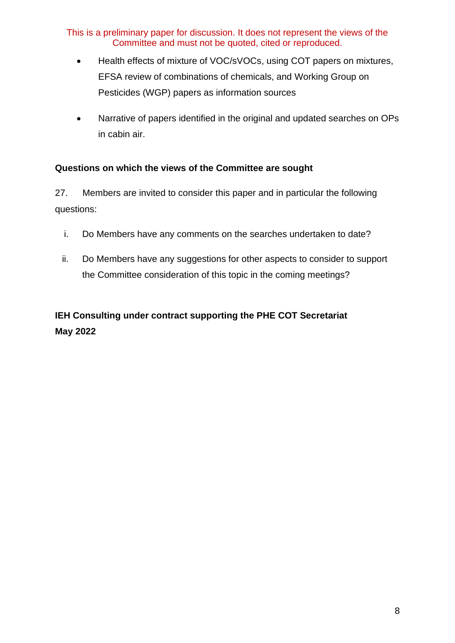- Health effects of mixture of VOC/sVOCs, using COT papers on mixtures, EFSA review of combinations of chemicals, and Working Group on Pesticides (WGP) papers as information sources
- Narrative of papers identified in the original and updated searches on OPs in cabin air.

### **Questions on which the views of the Committee are sought**

27. Members are invited to consider this paper and in particular the following questions:

- i. Do Members have any comments on the searches undertaken to date?
- ii. Do Members have any suggestions for other aspects to consider to support the Committee consideration of this topic in the coming meetings?

# **IEH Consulting under contract supporting the PHE COT Secretariat May 2022**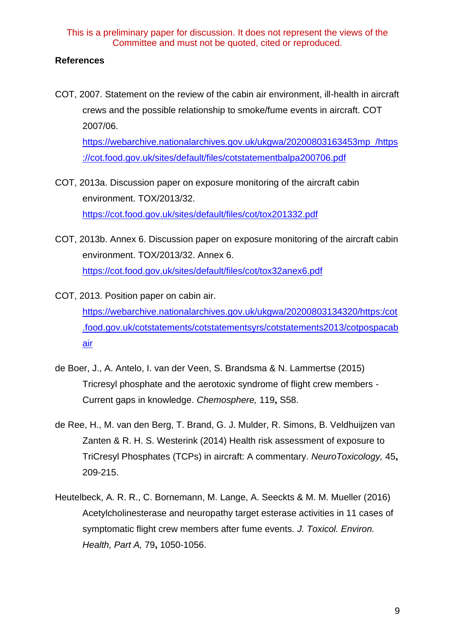#### **References**

COT, 2007. Statement on the review of the cabin air environment, ill-health in aircraft crews and the possible relationship to smoke/fume events in aircraft. COT 2007/06. [https://webarchive.nationalarchives.gov.uk/ukgwa/20200803163453mp\\_/https](https://webarchive.nationalarchives.gov.uk/ukgwa/20200803163453mp_/https:/cot.food.gov.uk/sites/default/files/cotstatementbalpa200706.pdf)

[://cot.food.gov.uk/sites/default/files/cotstatementbalpa200706.pdf](https://webarchive.nationalarchives.gov.uk/ukgwa/20200803163453mp_/https:/cot.food.gov.uk/sites/default/files/cotstatementbalpa200706.pdf)

- COT, 2013a. Discussion paper on exposure monitoring of the aircraft cabin environment. TOX/2013/32. <https://cot.food.gov.uk/sites/default/files/cot/tox201332.pdf>
- COT, 2013b. Annex 6. Discussion paper on exposure monitoring of the aircraft cabin environment. TOX/2013/32. Annex 6. <https://cot.food.gov.uk/sites/default/files/cot/tox32anex6.pdf>
- COT, 2013. Position paper on cabin air. [https://webarchive.nationalarchives.gov.uk/ukgwa/20200803134320/https:/cot](https://webarchive.nationalarchives.gov.uk/ukgwa/20200803134320/https:/cot.food.gov.uk/cotstatements/cotstatementsyrs/cotstatements2013/cotpospacabair) [.food.gov.uk/cotstatements/cotstatementsyrs/cotstatements2013/cotpospacab](https://webarchive.nationalarchives.gov.uk/ukgwa/20200803134320/https:/cot.food.gov.uk/cotstatements/cotstatementsyrs/cotstatements2013/cotpospacabair) [air](https://webarchive.nationalarchives.gov.uk/ukgwa/20200803134320/https:/cot.food.gov.uk/cotstatements/cotstatementsyrs/cotstatements2013/cotpospacabair)
- de Boer, J., A. Antelo, I. van der Veen, S. Brandsma & N. Lammertse (2015) Tricresyl phosphate and the aerotoxic syndrome of flight crew members - Current gaps in knowledge. *Chemosphere,* 119**,** S58.
- de Ree, H., M. van den Berg, T. Brand, G. J. Mulder, R. Simons, B. Veldhuijzen van Zanten & R. H. S. Westerink (2014) Health risk assessment of exposure to TriCresyl Phosphates (TCPs) in aircraft: A commentary. *NeuroToxicology,* 45**,** 209-215.
- Heutelbeck, A. R. R., C. Bornemann, M. Lange, A. Seeckts & M. M. Mueller (2016) Acetylcholinesterase and neuropathy target esterase activities in 11 cases of symptomatic flight crew members after fume events. *J. Toxicol. Environ. Health, Part A,* 79**,** 1050-1056.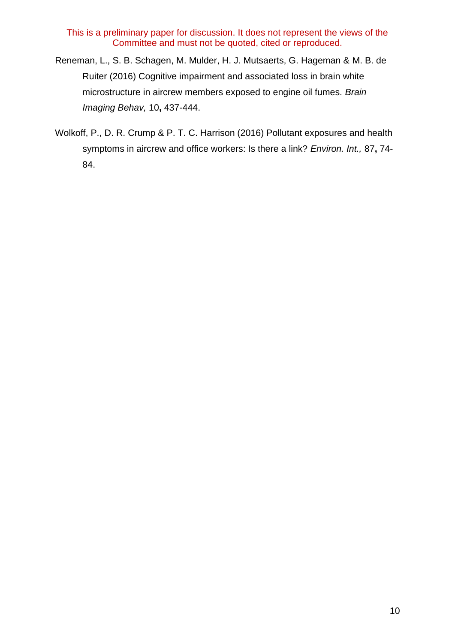- Reneman, L., S. B. Schagen, M. Mulder, H. J. Mutsaerts, G. Hageman & M. B. de Ruiter (2016) Cognitive impairment and associated loss in brain white microstructure in aircrew members exposed to engine oil fumes. *Brain Imaging Behav,* 10**,** 437-444.
- Wolkoff, P., D. R. Crump & P. T. C. Harrison (2016) Pollutant exposures and health symptoms in aircrew and office workers: Is there a link? *Environ. Int.,* 87**,** 74- 84.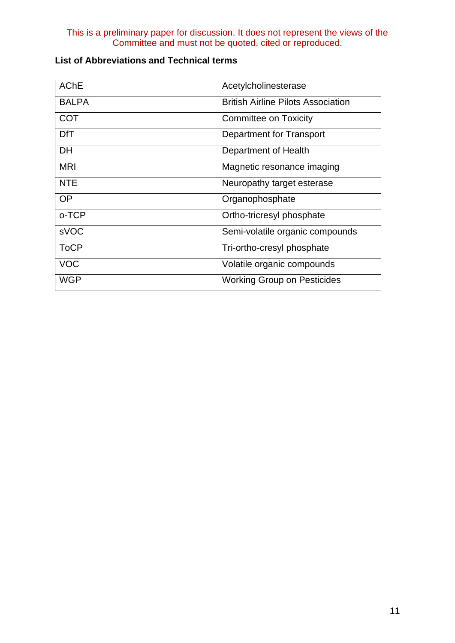| <b>AChE</b>  | Acetylcholinesterase                      |
|--------------|-------------------------------------------|
| <b>BALPA</b> | <b>British Airline Pilots Association</b> |
| <b>COT</b>   | <b>Committee on Toxicity</b>              |
| <b>DfT</b>   | Department for Transport                  |
| <b>DH</b>    | Department of Health                      |
| <b>MRI</b>   | Magnetic resonance imaging                |
| <b>NTE</b>   | Neuropathy target esterase                |
| <b>OP</b>    | Organophosphate                           |
| o-TCP        | Ortho-tricresyl phosphate                 |
| sVOC         | Semi-volatile organic compounds           |
| <b>ToCP</b>  | Tri-ortho-cresyl phosphate                |
| <b>VOC</b>   | Volatile organic compounds                |
| <b>WGP</b>   | <b>Working Group on Pesticides</b>        |

# **List of Abbreviations and Technical terms**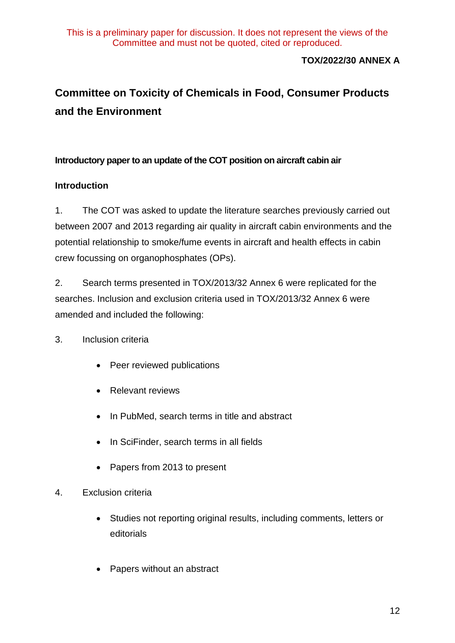# **TOX/2022/30 ANNEX A**

# **Committee on Toxicity of Chemicals in Food, Consumer Products and the Environment**

#### **Introductory paper to an update of the COT position on aircraft cabin air**

### **Introduction**

1. The COT was asked to update the literature searches previously carried out between 2007 and 2013 regarding air quality in aircraft cabin environments and the potential relationship to smoke/fume events in aircraft and health effects in cabin crew focussing on organophosphates (OPs).

2. Search terms presented in TOX/2013/32 Annex 6 were replicated for the searches. Inclusion and exclusion criteria used in TOX/2013/32 Annex 6 were amended and included the following:

#### 3. Inclusion criteria

- Peer reviewed publications
- Relevant reviews
- In PubMed, search terms in title and abstract
- In SciFinder, search terms in all fields
- Papers from 2013 to present
- 4. Exclusion criteria
	- Studies not reporting original results, including comments, letters or editorials
	- Papers without an abstract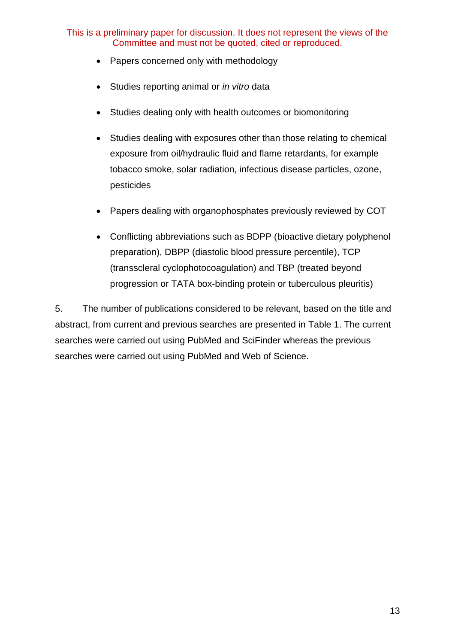- Papers concerned only with methodology
- Studies reporting animal or *in vitro* data
- Studies dealing only with health outcomes or biomonitoring
- Studies dealing with exposures other than those relating to chemical exposure from oil/hydraulic fluid and flame retardants, for example tobacco smoke, solar radiation, infectious disease particles, ozone, pesticides
- Papers dealing with organophosphates previously reviewed by COT
- Conflicting abbreviations such as BDPP (bioactive dietary polyphenol preparation), DBPP (diastolic blood pressure percentile), TCP (transscleral cyclophotocoagulation) and TBP (treated beyond progression or TATA box-binding protein or tuberculous pleuritis)

5. The number of publications considered to be relevant, based on the title and abstract, from current and previous searches are presented in [Table 1.](#page-13-0) The current searches were carried out using PubMed and SciFinder whereas the previous searches were carried out using PubMed and Web of Science.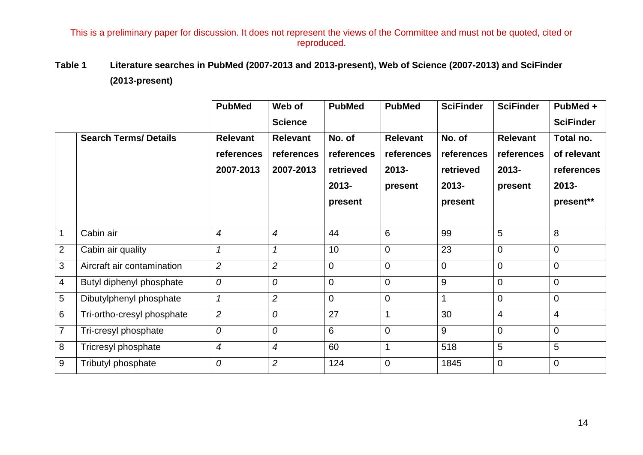# **Table 1 Literature searches in PubMed (2007-2013 and 2013-present), Web of Science (2007-2013) and SciFinder (2013-present)**

<span id="page-13-0"></span>

|                |                              | <b>PubMed</b>    | Web of          | <b>PubMed</b>  | <b>PubMed</b>   | <b>SciFinder</b> | <b>SciFinder</b> | PubMed +         |
|----------------|------------------------------|------------------|-----------------|----------------|-----------------|------------------|------------------|------------------|
|                |                              |                  | <b>Science</b>  |                |                 |                  |                  | <b>SciFinder</b> |
|                | <b>Search Terms/ Details</b> | <b>Relevant</b>  | <b>Relevant</b> | No. of         | <b>Relevant</b> | No. of           | <b>Relevant</b>  | Total no.        |
|                |                              | references       | references      | references     | references      | references       | references       | of relevant      |
|                |                              | 2007-2013        | 2007-2013       | retrieved      | $2013 -$        | retrieved        | $2013 -$         | references       |
|                |                              |                  |                 | $2013 -$       | present         | $2013 -$         | present          | $2013 -$         |
|                |                              |                  |                 | present        |                 | present          |                  | present**        |
|                |                              |                  |                 |                |                 |                  |                  |                  |
| $\mathbf 1$    | Cabin air                    | $\boldsymbol{4}$ | 4               | 44             | 6               | 99               | 5                | 8                |
| $\overline{2}$ | Cabin air quality            | $\overline{1}$   | $\mathcal I$    | 10             | 0               | 23               | $\overline{0}$   | $\mathbf 0$      |
| 3              | Aircraft air contamination   | $\overline{2}$   | $\overline{2}$  | $\overline{0}$ | 0               | $\Omega$         | $\overline{0}$   | $\boldsymbol{0}$ |
| $\overline{4}$ | Butyl diphenyl phosphate     | $\mathcal O$     | 0               | $\overline{0}$ | $\mathbf 0$     | 9                | $\overline{0}$   | $\mathbf 0$      |
| 5              | Dibutylphenyl phosphate      | $\mathcal I$     | $\overline{2}$  | $\Omega$       | 0               | $\overline{1}$   | $\overline{0}$   | $\overline{0}$   |
| 6              | Tri-ortho-cresyl phosphate   | $\overline{2}$   | 0               | 27             | 1               | 30               | $\overline{4}$   | $\overline{4}$   |
| $\overline{7}$ | Tri-cresyl phosphate         | 0                | 0               | 6              | 0               | 9                | $\overline{0}$   | $\mathbf 0$      |
| 8              | Tricresyl phosphate          | $\boldsymbol{4}$ | $\overline{4}$  | 60             |                 | 518              | 5                | 5                |
| 9              | Tributyl phosphate           | $\mathcal O$     | $\overline{2}$  | 124            | $\mathbf 0$     | 1845             | $\overline{0}$   | $\mathbf 0$      |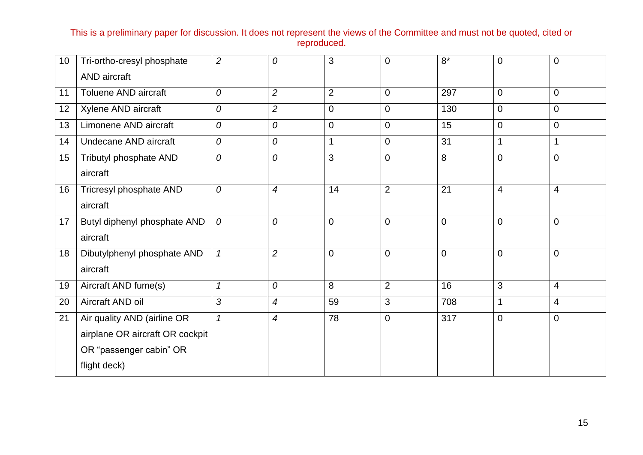| 10 <sup>°</sup> | Tri-ortho-cresyl phosphate      | $\overline{2}$ | 0              | 3              | 0              | $8*$           | $\overline{0}$ | 0              |
|-----------------|---------------------------------|----------------|----------------|----------------|----------------|----------------|----------------|----------------|
|                 | <b>AND</b> aircraft             |                |                |                |                |                |                |                |
| 11              | <b>Toluene AND aircraft</b>     | 0              | $\overline{2}$ | $\overline{2}$ | 0              | 297            | $\mathbf 0$    | 0              |
| 12              | Xylene AND aircraft             | 0              | $\overline{c}$ | $\mathbf 0$    | 0              | 130            | $\mathbf 0$    | 0              |
| 13              | Limonene AND aircraft           | 0              | 0              | $\mathbf 0$    | 0              | 15             | $\mathbf 0$    | 0              |
| 14              | Undecane AND aircraft           | $\mathcal O$   | 0              |                | 0              | 31             | $\mathbf 1$    | 1              |
| 15              | Tributyl phosphate AND          | $\mathcal O$   | 0              | 3              | $\overline{0}$ | 8              | $\overline{0}$ | $\mathbf 0$    |
|                 | aircraft                        |                |                |                |                |                |                |                |
| 16              | Tricresyl phosphate AND         | $\mathcal O$   | 4              | 14             | $\overline{2}$ | 21             | $\overline{4}$ | 4              |
|                 | aircraft                        |                |                |                |                |                |                |                |
| 17              | Butyl diphenyl phosphate AND    | $\mathcal O$   | 0              | $\overline{0}$ | $\overline{0}$ | $\overline{0}$ | $\overline{0}$ | $\mathbf 0$    |
|                 | aircraft                        |                |                |                |                |                |                |                |
| 18              | Dibutylphenyl phosphate AND     | $\mathcal{I}$  | $\overline{2}$ | $\overline{0}$ | $\mathbf 0$    | $\overline{0}$ | $\overline{0}$ | $\mathbf 0$    |
|                 | aircraft                        |                |                |                |                |                |                |                |
| 19              | Aircraft AND fume(s)            | $\mathcal I$   | 0              | 8              | $\overline{2}$ | 16             | 3              | $\overline{4}$ |
| 20              | Aircraft AND oil                | 3              | 4              | 59             | 3              | 708            | $\mathbf{1}$   | 4              |
| 21              | Air quality AND (airline OR     | $\mathbf{1}$   | $\overline{4}$ | 78             | $\mathbf 0$    | 317            | $\overline{0}$ | 0              |
|                 | airplane OR aircraft OR cockpit |                |                |                |                |                |                |                |
|                 | OR "passenger cabin" OR         |                |                |                |                |                |                |                |
|                 | flight deck)                    |                |                |                |                |                |                |                |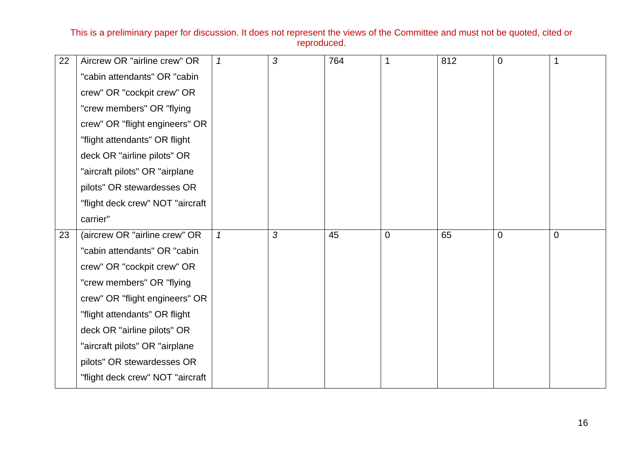| 22 | Aircrew OR "airline crew" OR     | $\mathcal I$  | 3 | 764 |   | 812 | $\overline{0}$ |   |
|----|----------------------------------|---------------|---|-----|---|-----|----------------|---|
|    | "cabin attendants" OR "cabin     |               |   |     |   |     |                |   |
|    | crew" OR "cockpit crew" OR       |               |   |     |   |     |                |   |
|    | "crew members" OR "flying        |               |   |     |   |     |                |   |
|    | crew" OR "flight engineers" OR   |               |   |     |   |     |                |   |
|    | "flight attendants" OR flight    |               |   |     |   |     |                |   |
|    | deck OR "airline pilots" OR      |               |   |     |   |     |                |   |
|    | "aircraft pilots" OR "airplane   |               |   |     |   |     |                |   |
|    | pilots" OR stewardesses OR       |               |   |     |   |     |                |   |
|    | "flight deck crew" NOT "aircraft |               |   |     |   |     |                |   |
|    | carrier"                         |               |   |     |   |     |                |   |
| 23 | (aircrew OR "airline crew" OR    | $\mathcal{I}$ | 3 | 45  | 0 | 65  | $\overline{0}$ | 0 |
|    | "cabin attendants" OR "cabin     |               |   |     |   |     |                |   |
|    | crew" OR "cockpit crew" OR       |               |   |     |   |     |                |   |
|    | "crew members" OR "flying        |               |   |     |   |     |                |   |
|    | crew" OR "flight engineers" OR   |               |   |     |   |     |                |   |
|    | "flight attendants" OR flight    |               |   |     |   |     |                |   |
|    | deck OR "airline pilots" OR      |               |   |     |   |     |                |   |
|    | "aircraft pilots" OR "airplane   |               |   |     |   |     |                |   |
|    | pilots" OR stewardesses OR       |               |   |     |   |     |                |   |
|    | "flight deck crew" NOT "aircraft |               |   |     |   |     |                |   |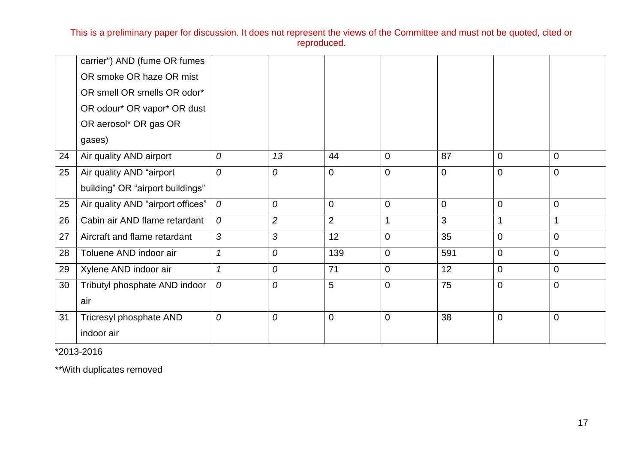|    | carrier") AND (fume OR fumes      |                  |                |                |                |                |                  |                |
|----|-----------------------------------|------------------|----------------|----------------|----------------|----------------|------------------|----------------|
|    | OR smoke OR haze OR mist          |                  |                |                |                |                |                  |                |
|    | OR smell OR smells OR odor*       |                  |                |                |                |                |                  |                |
|    | OR odour* OR vapor* OR dust       |                  |                |                |                |                |                  |                |
|    | OR aerosol* OR gas OR             |                  |                |                |                |                |                  |                |
|    | gases)                            |                  |                |                |                |                |                  |                |
| 24 | Air quality AND airport           | $\overline{O}$   | 13             | 44             | $\overline{0}$ | 87             | $\overline{0}$   | $\overline{0}$ |
| 25 | Air quality AND "airport          | $\overline{O}$   | $\overline{O}$ | $\overline{0}$ | $\overline{0}$ | $\overline{0}$ | $\overline{0}$   | $\mathbf 0$    |
|    | building" OR "airport buildings"  |                  |                |                |                |                |                  |                |
| 25 | Air quality AND "airport offices" | $\mathcal O$     | 0              | 0              | $\mathbf 0$    | $\mathbf 0$    | $\boldsymbol{0}$ | $\mathbf 0$    |
| 26 | Cabin air AND flame retardant     | $\overline{O}$   | $\overline{2}$ | $\overline{2}$ | 1              | 3              | 1                | 1              |
| 27 | Aircraft and flame retardant      | 3                | 3              | 12             | $\overline{0}$ | 35             | $\overline{0}$   | $\mathbf 0$    |
| 28 | Toluene AND indoor air            | $\mathcal I$     | 0              | 139            | $\overline{0}$ | 591            | $\overline{0}$   | $\overline{0}$ |
| 29 | Xylene AND indoor air             | $\mathcal I$     | 0              | 71             | $\mathbf 0$    | 12             | $\overline{0}$   | $\overline{0}$ |
| 30 | Tributyl phosphate AND indoor     | $\boldsymbol{0}$ | $\overline{O}$ | 5              | $\Omega$       | 75             | $\overline{0}$   | $\mathbf 0$    |
|    | air                               |                  |                |                |                |                |                  |                |
| 31 | Tricresyl phosphate AND           | 0                | $\mathcal O$   | $\mathbf 0$    | $\Omega$       | 38             | $\boldsymbol{0}$ | $\overline{0}$ |
|    | indoor air                        |                  |                |                |                |                |                  |                |
|    |                                   |                  |                |                |                |                |                  |                |

\*2013-2016

\*\*With duplicates removed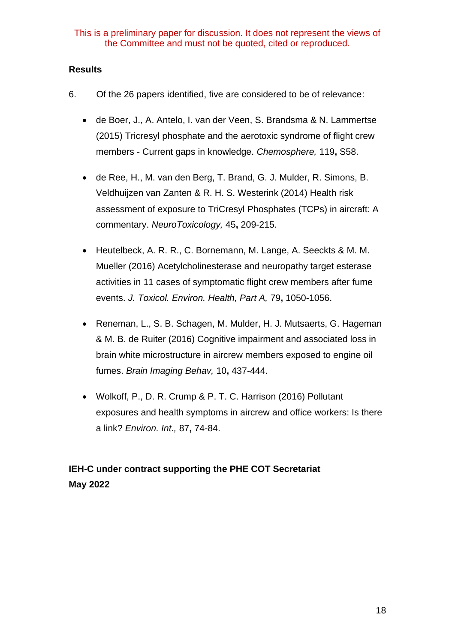#### **Results**

- 6. Of the 26 papers identified, five are considered to be of relevance:
	- de Boer, J., A. Antelo, I. van der Veen, S. Brandsma & N. Lammertse (2015) Tricresyl phosphate and the aerotoxic syndrome of flight crew members - Current gaps in knowledge. *Chemosphere,* 119**,** S58.
	- de Ree, H., M. van den Berg, T. Brand, G. J. Mulder, R. Simons, B. Veldhuijzen van Zanten & R. H. S. Westerink (2014) Health risk assessment of exposure to TriCresyl Phosphates (TCPs) in aircraft: A commentary. *NeuroToxicology,* 45**,** 209-215.
	- Heutelbeck, A. R. R., C. Bornemann, M. Lange, A. Seeckts & M. M. Mueller (2016) Acetylcholinesterase and neuropathy target esterase activities in 11 cases of symptomatic flight crew members after fume events. *J. Toxicol. Environ. Health, Part A,* 79**,** 1050-1056.
	- Reneman, L., S. B. Schagen, M. Mulder, H. J. Mutsaerts, G. Hageman & M. B. de Ruiter (2016) Cognitive impairment and associated loss in brain white microstructure in aircrew members exposed to engine oil fumes. *Brain Imaging Behav,* 10**,** 437-444.
	- Wolkoff, P., D. R. Crump & P. T. C. Harrison (2016) Pollutant exposures and health symptoms in aircrew and office workers: Is there a link? *Environ. Int.,* 87**,** 74-84.

# **IEH-C under contract supporting the PHE COT Secretariat May 2022**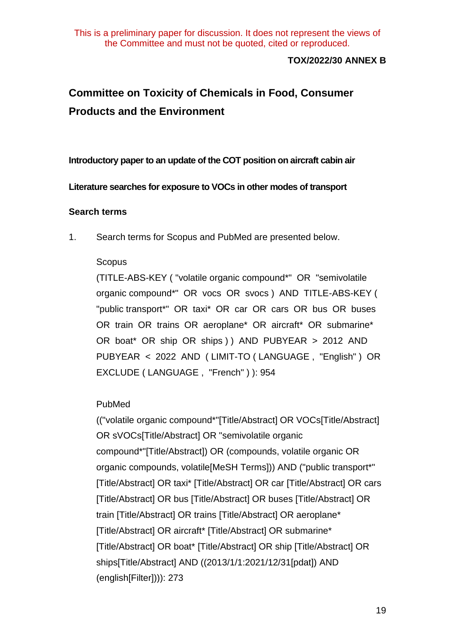#### **TOX/2022/30 ANNEX B**

# **Committee on Toxicity of Chemicals in Food, Consumer Products and the Environment**

**Introductory paper to an update of the COT position on aircraft cabin air** 

#### **Literature searches for exposure to VOCs in other modes of transport**

#### **Search terms**

1. Search terms for Scopus and PubMed are presented below.

#### Scopus

(TITLE-ABS-KEY ( "volatile organic compound\*" OR "semivolatile organic compound\*" OR vocs OR svocs ) AND TITLE-ABS-KEY ( "public transport\*" OR taxi\* OR car OR cars OR bus OR buses OR train OR trains OR aeroplane\* OR aircraft\* OR submarine\* OR boat\* OR ship OR ships ) ) AND PUBYEAR > 2012 AND PUBYEAR < 2022 AND ( LIMIT-TO ( LANGUAGE , "English" ) OR EXCLUDE ( LANGUAGE , "French" ) ): 954

# PubMed

(("volatile organic compound\*"[Title/Abstract] OR VOCs[Title/Abstract] OR sVOCs[Title/Abstract] OR "semivolatile organic compound\*"[Title/Abstract]) OR (compounds, volatile organic OR organic compounds, volatile[MeSH Terms])) AND ("public transport\*" [Title/Abstract] OR taxi\* [Title/Abstract] OR car [Title/Abstract] OR cars [Title/Abstract] OR bus [Title/Abstract] OR buses [Title/Abstract] OR train [Title/Abstract] OR trains [Title/Abstract] OR aeroplane\* [Title/Abstract] OR aircraft\* [Title/Abstract] OR submarine\* [Title/Abstract] OR boat\* [Title/Abstract] OR ship [Title/Abstract] OR ships[Title/Abstract] AND ((2013/1/1:2021/12/31[pdat]) AND (english[Filter]))): 273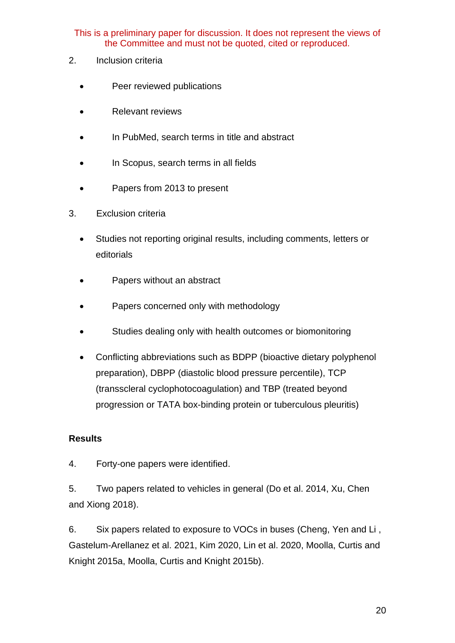- 2. Inclusion criteria
	- Peer reviewed publications
	- Relevant reviews
	- In PubMed, search terms in title and abstract
	- In Scopus, search terms in all fields
	- Papers from 2013 to present
- 3. Exclusion criteria
	- Studies not reporting original results, including comments, letters or editorials
	- Papers without an abstract
	- Papers concerned only with methodology
	- Studies dealing only with health outcomes or biomonitoring
	- Conflicting abbreviations such as BDPP (bioactive dietary polyphenol preparation), DBPP (diastolic blood pressure percentile), TCP (transscleral cyclophotocoagulation) and TBP (treated beyond progression or TATA box-binding protein or tuberculous pleuritis)

#### **Results**

4. Forty-one papers were identified.

5. Two papers related to vehicles in general (Do et al. 2014, Xu, Chen and Xiong 2018).

6. Six papers related to exposure to VOCs in buses (Cheng, Yen and Li , Gastelum-Arellanez et al. 2021, Kim 2020, Lin et al. 2020, Moolla, Curtis and Knight 2015a, Moolla, Curtis and Knight 2015b).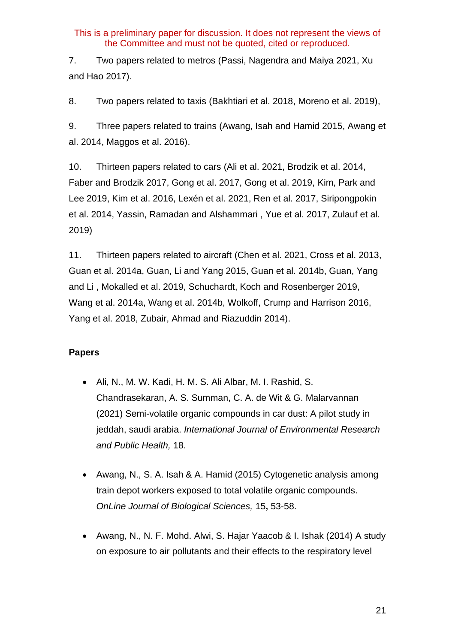7. Two papers related to metros (Passi, Nagendra and Maiya 2021, Xu and Hao 2017).

8. Two papers related to taxis (Bakhtiari et al. 2018, Moreno et al. 2019),

9. Three papers related to trains (Awang, Isah and Hamid 2015, Awang et al. 2014, Maggos et al. 2016).

10. Thirteen papers related to cars (Ali et al. 2021, Brodzik et al. 2014, Faber and Brodzik 2017, Gong et al. 2017, Gong et al. 2019, Kim, Park and Lee 2019, Kim et al. 2016, Lexén et al. 2021, Ren et al. 2017, Siripongpokin et al. 2014, Yassin, Ramadan and Alshammari , Yue et al. 2017, Zulauf et al. 2019)

11. Thirteen papers related to aircraft (Chen et al. 2021, Cross et al. 2013, Guan et al. 2014a, Guan, Li and Yang 2015, Guan et al. 2014b, Guan, Yang and Li , Mokalled et al. 2019, Schuchardt, Koch and Rosenberger 2019, Wang et al. 2014a, Wang et al. 2014b, Wolkoff, Crump and Harrison 2016, Yang et al. 2018, Zubair, Ahmad and Riazuddin 2014).

# **Papers**

- Ali, N., M. W. Kadi, H. M. S. Ali Albar, M. I. Rashid, S. Chandrasekaran, A. S. Summan, C. A. de Wit & G. Malarvannan (2021) Semi-volatile organic compounds in car dust: A pilot study in jeddah, saudi arabia. *International Journal of Environmental Research and Public Health,* 18.
- Awang, N., S. A. Isah & A. Hamid (2015) Cytogenetic analysis among train depot workers exposed to total volatile organic compounds. *OnLine Journal of Biological Sciences,* 15**,** 53-58.
- Awang, N., N. F. Mohd. Alwi, S. Hajar Yaacob & I. Ishak (2014) A study on exposure to air pollutants and their effects to the respiratory level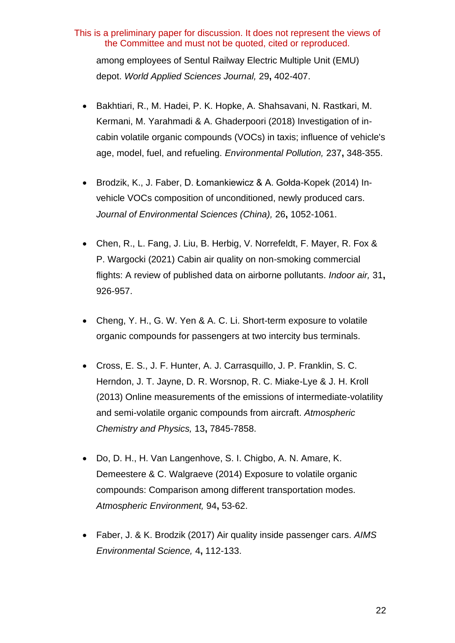among employees of Sentul Railway Electric Multiple Unit (EMU) depot. *World Applied Sciences Journal,* 29**,** 402-407.

- Bakhtiari, R., M. Hadei, P. K. Hopke, A. Shahsavani, N. Rastkari, M. Kermani, M. Yarahmadi & A. Ghaderpoori (2018) Investigation of incabin volatile organic compounds (VOCs) in taxis; influence of vehicle's age, model, fuel, and refueling. *Environmental Pollution,* 237**,** 348-355.
- Brodzik, K., J. Faber, D. Łomankiewicz & A. Gołda-Kopek (2014) Invehicle VOCs composition of unconditioned, newly produced cars. *Journal of Environmental Sciences (China),* 26**,** 1052-1061.
- Chen, R., L. Fang, J. Liu, B. Herbig, V. Norrefeldt, F. Mayer, R. Fox & P. Wargocki (2021) Cabin air quality on non-smoking commercial flights: A review of published data on airborne pollutants. *Indoor air,* 31**,** 926-957.
- Cheng, Y. H., G. W. Yen & A. C. Li. Short-term exposure to volatile organic compounds for passengers at two intercity bus terminals.
- Cross, E. S., J. F. Hunter, A. J. Carrasquillo, J. P. Franklin, S. C. Herndon, J. T. Jayne, D. R. Worsnop, R. C. Miake-Lye & J. H. Kroll (2013) Online measurements of the emissions of intermediate-volatility and semi-volatile organic compounds from aircraft. *Atmospheric Chemistry and Physics,* 13**,** 7845-7858.
- Do, D. H., H. Van Langenhove, S. I. Chigbo, A. N. Amare, K. Demeestere & C. Walgraeve (2014) Exposure to volatile organic compounds: Comparison among different transportation modes. *Atmospheric Environment,* 94**,** 53-62.
- Faber, J. & K. Brodzik (2017) Air quality inside passenger cars. *AIMS Environmental Science,* 4**,** 112-133.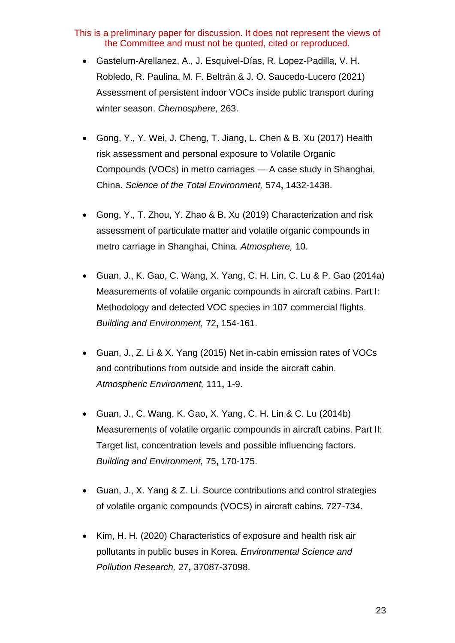- Gastelum-Arellanez, A., J. Esquivel-Días, R. Lopez-Padilla, V. H. Robledo, R. Paulina, M. F. Beltrán & J. O. Saucedo-Lucero (2021) Assessment of persistent indoor VOCs inside public transport during winter season. *Chemosphere,* 263.
- Gong, Y., Y. Wei, J. Cheng, T. Jiang, L. Chen & B. Xu (2017) Health risk assessment and personal exposure to Volatile Organic Compounds (VOCs) in metro carriages — A case study in Shanghai, China. *Science of the Total Environment,* 574**,** 1432-1438.
- Gong, Y., T. Zhou, Y. Zhao & B. Xu (2019) Characterization and risk assessment of particulate matter and volatile organic compounds in metro carriage in Shanghai, China. *Atmosphere,* 10.
- Guan, J., K. Gao, C. Wang, X. Yang, C. H. Lin, C. Lu & P. Gao (2014a) Measurements of volatile organic compounds in aircraft cabins. Part I: Methodology and detected VOC species in 107 commercial flights. *Building and Environment,* 72**,** 154-161.
- Guan, J., Z. Li & X. Yang (2015) Net in-cabin emission rates of VOCs and contributions from outside and inside the aircraft cabin. *Atmospheric Environment,* 111**,** 1-9.
- Guan, J., C. Wang, K. Gao, X. Yang, C. H. Lin & C. Lu (2014b) Measurements of volatile organic compounds in aircraft cabins. Part II: Target list, concentration levels and possible influencing factors. *Building and Environment,* 75**,** 170-175.
- Guan, J., X. Yang & Z. Li. Source contributions and control strategies of volatile organic compounds (VOCS) in aircraft cabins. 727-734.
- Kim, H. H. (2020) Characteristics of exposure and health risk air pollutants in public buses in Korea. *Environmental Science and Pollution Research,* 27**,** 37087-37098.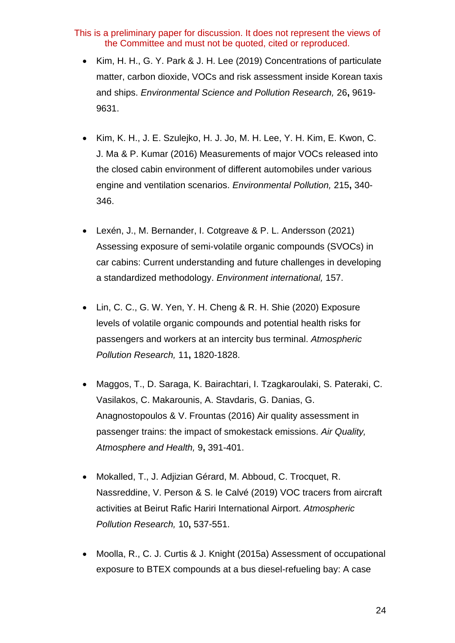- Kim, H. H., G. Y. Park & J. H. Lee (2019) Concentrations of particulate matter, carbon dioxide, VOCs and risk assessment inside Korean taxis and ships. *Environmental Science and Pollution Research,* 26**,** 9619- 9631.
- Kim, K. H., J. E. Szulejko, H. J. Jo, M. H. Lee, Y. H. Kim, E. Kwon, C. J. Ma & P. Kumar (2016) Measurements of major VOCs released into the closed cabin environment of different automobiles under various engine and ventilation scenarios. *Environmental Pollution,* 215**,** 340- 346.
- Lexén, J., M. Bernander, I. Cotgreave & P. L. Andersson (2021) Assessing exposure of semi-volatile organic compounds (SVOCs) in car cabins: Current understanding and future challenges in developing a standardized methodology. *Environment international,* 157.
- Lin, C. C., G. W. Yen, Y. H. Cheng & R. H. Shie (2020) Exposure levels of volatile organic compounds and potential health risks for passengers and workers at an intercity bus terminal. *Atmospheric Pollution Research,* 11**,** 1820-1828.
- Maggos, T., D. Saraga, K. Bairachtari, I. Tzagkaroulaki, S. Pateraki, C. Vasilakos, C. Makarounis, A. Stavdaris, G. Danias, G. Anagnostopoulos & V. Frountas (2016) Air quality assessment in passenger trains: the impact of smokestack emissions. *Air Quality, Atmosphere and Health,* 9**,** 391-401.
- Mokalled, T., J. Adjizian Gérard, M. Abboud, C. Trocquet, R. Nassreddine, V. Person & S. le Calvé (2019) VOC tracers from aircraft activities at Beirut Rafic Hariri International Airport. *Atmospheric Pollution Research,* 10**,** 537-551.
- Moolla, R., C. J. Curtis & J. Knight (2015a) Assessment of occupational exposure to BTEX compounds at a bus diesel-refueling bay: A case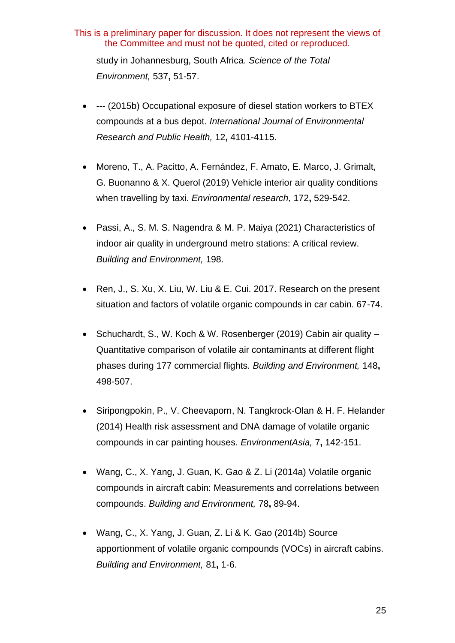study in Johannesburg, South Africa. *Science of the Total Environment,* 537**,** 51-57.

- --- (2015b) Occupational exposure of diesel station workers to BTEX compounds at a bus depot. *International Journal of Environmental Research and Public Health,* 12**,** 4101-4115.
- Moreno, T., A. Pacitto, A. Fernández, F. Amato, E. Marco, J. Grimalt, G. Buonanno & X. Querol (2019) Vehicle interior air quality conditions when travelling by taxi. *Environmental research,* 172**,** 529-542.
- Passi, A., S. M. S. Nagendra & M. P. Maiya (2021) Characteristics of indoor air quality in underground metro stations: A critical review. *Building and Environment,* 198.
- Ren, J., S. Xu, X. Liu, W. Liu & E. Cui. 2017. Research on the present situation and factors of volatile organic compounds in car cabin. 67-74.
- Schuchardt, S., W. Koch & W. Rosenberger (2019) Cabin air quality Quantitative comparison of volatile air contaminants at different flight phases during 177 commercial flights. *Building and Environment,* 148**,** 498-507.
- Siripongpokin, P., V. Cheevaporn, N. Tangkrock-Olan & H. F. Helander (2014) Health risk assessment and DNA damage of volatile organic compounds in car painting houses. *EnvironmentAsia,* 7**,** 142-151.
- Wang, C., X. Yang, J. Guan, K. Gao & Z. Li (2014a) Volatile organic compounds in aircraft cabin: Measurements and correlations between compounds. *Building and Environment,* 78**,** 89-94.
- Wang, C., X. Yang, J. Guan, Z. Li & K. Gao (2014b) Source apportionment of volatile organic compounds (VOCs) in aircraft cabins. *Building and Environment,* 81**,** 1-6.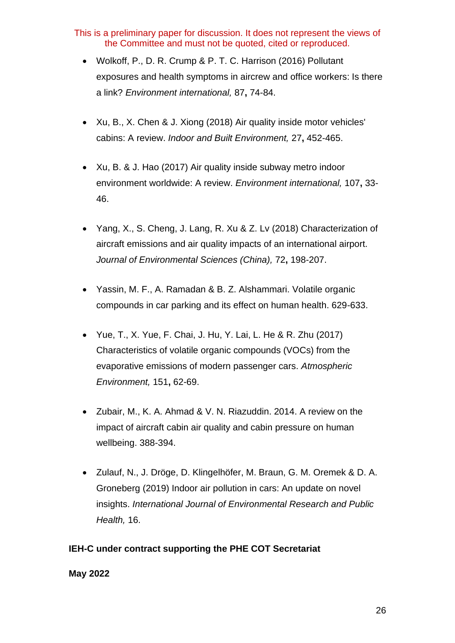- Wolkoff, P., D. R. Crump & P. T. C. Harrison (2016) Pollutant exposures and health symptoms in aircrew and office workers: Is there a link? *Environment international,* 87**,** 74-84.
- Xu, B., X. Chen & J. Xiong (2018) Air quality inside motor vehicles' cabins: A review. *Indoor and Built Environment,* 27**,** 452-465.
- Xu, B. & J. Hao (2017) Air quality inside subway metro indoor environment worldwide: A review. *Environment international,* 107**,** 33- 46.
- Yang, X., S. Cheng, J. Lang, R. Xu & Z. Lv (2018) Characterization of aircraft emissions and air quality impacts of an international airport. *Journal of Environmental Sciences (China),* 72**,** 198-207.
- Yassin, M. F., A. Ramadan & B. Z. Alshammari. Volatile organic compounds in car parking and its effect on human health. 629-633.
- Yue, T., X. Yue, F. Chai, J. Hu, Y. Lai, L. He & R. Zhu (2017) Characteristics of volatile organic compounds (VOCs) from the evaporative emissions of modern passenger cars. *Atmospheric Environment,* 151**,** 62-69.
- Zubair, M., K. A. Ahmad & V. N. Riazuddin. 2014. A review on the impact of aircraft cabin air quality and cabin pressure on human wellbeing. 388-394.
- Zulauf, N., J. Dröge, D. Klingelhöfer, M. Braun, G. M. Oremek & D. A. Groneberg (2019) Indoor air pollution in cars: An update on novel insights. *International Journal of Environmental Research and Public Health,* 16.

#### **IEH-C under contract supporting the PHE COT Secretariat**

#### **May 2022**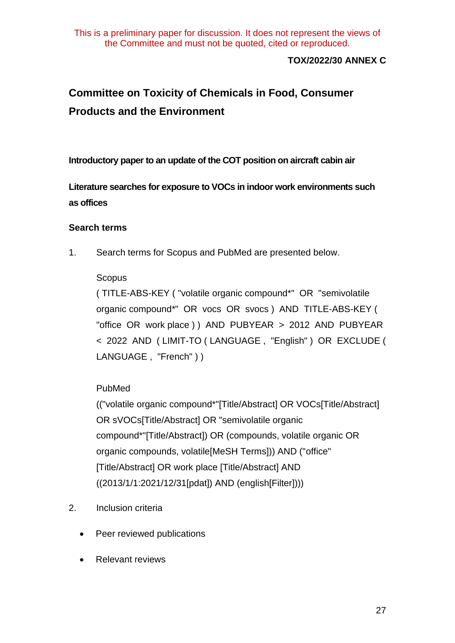#### **TOX/2022/30 ANNEX C**

# **Committee on Toxicity of Chemicals in Food, Consumer Products and the Environment**

**Introductory paper to an update of the COT position on aircraft cabin air** 

**Literature searches for exposure to VOCs in indoor work environments such as offices**

#### **Search terms**

1. Search terms for Scopus and PubMed are presented below.

#### Scopus

( TITLE-ABS-KEY ( "volatile organic compound\*" OR "semivolatile organic compound\*" OR vocs OR svocs ) AND TITLE-ABS-KEY ( "office OR work place ) ) AND PUBYEAR > 2012 AND PUBYEAR < 2022 AND ( LIMIT-TO ( LANGUAGE , "English" ) OR EXCLUDE ( LANGUAGE, "French" ) )

# PubMed

(("volatile organic compound\*"[Title/Abstract] OR VOCs[Title/Abstract] OR sVOCs[Title/Abstract] OR "semivolatile organic compound\*"[Title/Abstract]) OR (compounds, volatile organic OR organic compounds, volatile[MeSH Terms])) AND ("office" [Title/Abstract] OR work place [Title/Abstract] AND ((2013/1/1:2021/12/31[pdat]) AND (english[Filter])))

- 2. Inclusion criteria
	- Peer reviewed publications
	- Relevant reviews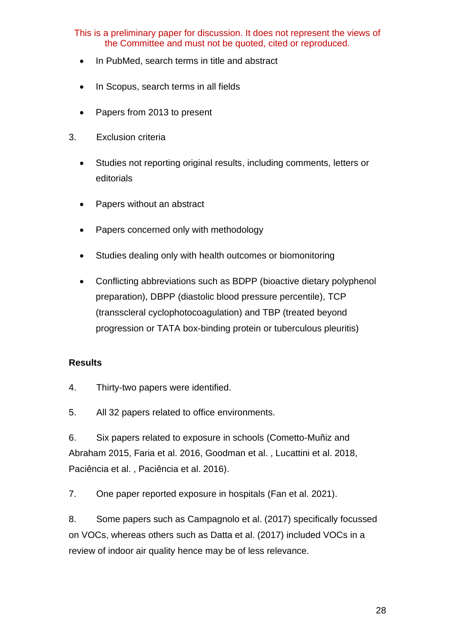- In PubMed, search terms in title and abstract
- In Scopus, search terms in all fields
- Papers from 2013 to present
- 3. Exclusion criteria
	- Studies not reporting original results, including comments, letters or editorials
	- Papers without an abstract
	- Papers concerned only with methodology
	- Studies dealing only with health outcomes or biomonitoring
	- Conflicting abbreviations such as BDPP (bioactive dietary polyphenol preparation), DBPP (diastolic blood pressure percentile), TCP (transscleral cyclophotocoagulation) and TBP (treated beyond progression or TATA box-binding protein or tuberculous pleuritis)

#### **Results**

- 4. Thirty-two papers were identified.
- 5. All 32 papers related to office environments.

6. Six papers related to exposure in schools (Cometto-Muñiz and Abraham 2015, Faria et al. 2016, Goodman et al. , Lucattini et al. 2018, Paciência et al. , Paciência et al. 2016).

7. One paper reported exposure in hospitals (Fan et al. 2021).

8. Some papers such as Campagnolo et al. (2017) specifically focussed on VOCs, whereas others such as Datta et al. (2017) included VOCs in a review of indoor air quality hence may be of less relevance.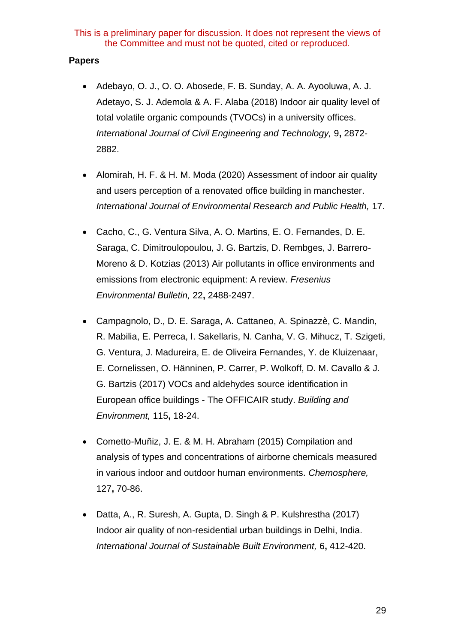#### **Papers**

- Adebayo, O. J., O. O. Abosede, F. B. Sunday, A. A. Ayooluwa, A. J. Adetayo, S. J. Ademola & A. F. Alaba (2018) Indoor air quality level of total volatile organic compounds (TVOCs) in a university offices. *International Journal of Civil Engineering and Technology,* 9**,** 2872- 2882.
- Alomirah, H. F. & H. M. Moda (2020) Assessment of indoor air quality and users perception of a renovated office building in manchester. *International Journal of Environmental Research and Public Health,* 17.
- Cacho, C., G. Ventura Silva, A. O. Martins, E. O. Fernandes, D. E. Saraga, C. Dimitroulopoulou, J. G. Bartzis, D. Rembges, J. Barrero-Moreno & D. Kotzias (2013) Air pollutants in office environments and emissions from electronic equipment: A review. *Fresenius Environmental Bulletin,* 22**,** 2488-2497.
- Campagnolo, D., D. E. Saraga, A. Cattaneo, A. Spinazzè, C. Mandin, R. Mabilia, E. Perreca, I. Sakellaris, N. Canha, V. G. Mihucz, T. Szigeti, G. Ventura, J. Madureira, E. de Oliveira Fernandes, Y. de Kluizenaar, E. Cornelissen, O. Hänninen, P. Carrer, P. Wolkoff, D. M. Cavallo & J. G. Bartzis (2017) VOCs and aldehydes source identification in European office buildings - The OFFICAIR study. *Building and Environment,* 115**,** 18-24.
- Cometto-Muñiz, J. E. & M. H. Abraham (2015) Compilation and analysis of types and concentrations of airborne chemicals measured in various indoor and outdoor human environments. *Chemosphere,* 127**,** 70-86.
- Datta, A., R. Suresh, A. Gupta, D. Singh & P. Kulshrestha (2017) Indoor air quality of non-residential urban buildings in Delhi, India. *International Journal of Sustainable Built Environment,* 6**,** 412-420.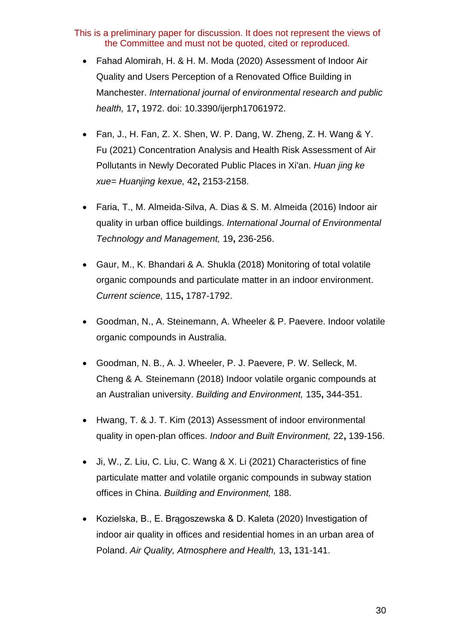- Fahad Alomirah, H. & H. M. Moda (2020) Assessment of Indoor Air Quality and Users Perception of a Renovated Office Building in Manchester. *International journal of environmental research and public health,* 17**,** 1972. doi: 10.3390/ijerph17061972.
- Fan, J., H. Fan, Z. X. Shen, W. P. Dang, W. Zheng, Z. H. Wang & Y. Fu (2021) Concentration Analysis and Health Risk Assessment of Air Pollutants in Newly Decorated Public Places in Xi'an. *Huan jing ke xue= Huanjing kexue,* 42**,** 2153-2158.
- Faria, T., M. Almeida-Silva, A. Dias & S. M. Almeida (2016) Indoor air quality in urban office buildings. *International Journal of Environmental Technology and Management,* 19**,** 236-256.
- Gaur, M., K. Bhandari & A. Shukla (2018) Monitoring of total volatile organic compounds and particulate matter in an indoor environment. *Current science,* 115**,** 1787-1792.
- Goodman, N., A. Steinemann, A. Wheeler & P. Paevere. Indoor volatile organic compounds in Australia.
- Goodman, N. B., A. J. Wheeler, P. J. Paevere, P. W. Selleck, M. Cheng & A. Steinemann (2018) Indoor volatile organic compounds at an Australian university. *Building and Environment,* 135**,** 344-351.
- Hwang, T. & J. T. Kim (2013) Assessment of indoor environmental quality in open-plan offices. *Indoor and Built Environment,* 22**,** 139-156.
- Ji, W., Z. Liu, C. Liu, C. Wang & X. Li (2021) Characteristics of fine particulate matter and volatile organic compounds in subway station offices in China. *Building and Environment,* 188.
- Kozielska, B., E. Brągoszewska & D. Kaleta (2020) Investigation of indoor air quality in offices and residential homes in an urban area of Poland. *Air Quality, Atmosphere and Health,* 13**,** 131-141.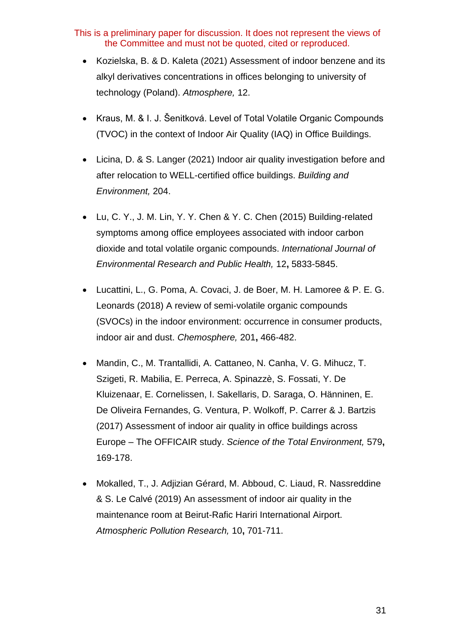- Kozielska, B. & D. Kaleta (2021) Assessment of indoor benzene and its alkyl derivatives concentrations in offices belonging to university of technology (Poland). *Atmosphere,* 12.
- Kraus, M. & I. J. Šenitková. Level of Total Volatile Organic Compounds (TVOC) in the context of Indoor Air Quality (IAQ) in Office Buildings.
- Licina, D. & S. Langer (2021) Indoor air quality investigation before and after relocation to WELL-certified office buildings. *Building and Environment,* 204.
- Lu, C. Y., J. M. Lin, Y. Y. Chen & Y. C. Chen (2015) Building-related symptoms among office employees associated with indoor carbon dioxide and total volatile organic compounds. *International Journal of Environmental Research and Public Health,* 12**,** 5833-5845.
- Lucattini, L., G. Poma, A. Covaci, J. de Boer, M. H. Lamoree & P. E. G. Leonards (2018) A review of semi-volatile organic compounds (SVOCs) in the indoor environment: occurrence in consumer products, indoor air and dust. *Chemosphere,* 201**,** 466-482.
- Mandin, C., M. Trantallidi, A. Cattaneo, N. Canha, V. G. Mihucz, T. Szigeti, R. Mabilia, E. Perreca, A. Spinazzè, S. Fossati, Y. De Kluizenaar, E. Cornelissen, I. Sakellaris, D. Saraga, O. Hänninen, E. De Oliveira Fernandes, G. Ventura, P. Wolkoff, P. Carrer & J. Bartzis (2017) Assessment of indoor air quality in office buildings across Europe – The OFFICAIR study. *Science of the Total Environment,* 579**,** 169-178.
- Mokalled, T., J. Adjizian Gérard, M. Abboud, C. Liaud, R. Nassreddine & S. Le Calvé (2019) An assessment of indoor air quality in the maintenance room at Beirut-Rafic Hariri International Airport. *Atmospheric Pollution Research,* 10**,** 701-711.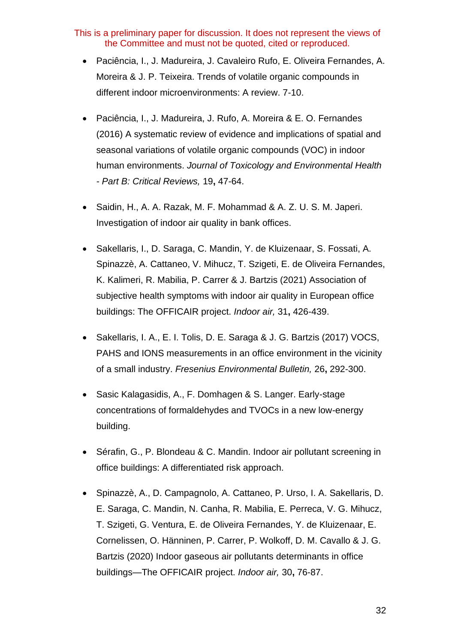- Paciência, I., J. Madureira, J. Cavaleiro Rufo, E. Oliveira Fernandes, A. Moreira & J. P. Teixeira. Trends of volatile organic compounds in different indoor microenvironments: A review. 7-10.
- Paciência, I., J. Madureira, J. Rufo, A. Moreira & E. O. Fernandes (2016) A systematic review of evidence and implications of spatial and seasonal variations of volatile organic compounds (VOC) in indoor human environments. *Journal of Toxicology and Environmental Health - Part B: Critical Reviews,* 19**,** 47-64.
- Saidin, H., A. A. Razak, M. F. Mohammad & A. Z. U. S. M. Japeri. Investigation of indoor air quality in bank offices.
- Sakellaris, I., D. Saraga, C. Mandin, Y. de Kluizenaar, S. Fossati, A. Spinazzè, A. Cattaneo, V. Mihucz, T. Szigeti, E. de Oliveira Fernandes, K. Kalimeri, R. Mabilia, P. Carrer & J. Bartzis (2021) Association of subjective health symptoms with indoor air quality in European office buildings: The OFFICAIR project. *Indoor air,* 31**,** 426-439.
- Sakellaris, I. A., E. I. Tolis, D. E. Saraga & J. G. Bartzis (2017) VOCS, PAHS and IONS measurements in an office environment in the vicinity of a small industry. *Fresenius Environmental Bulletin,* 26**,** 292-300.
- Sasic Kalagasidis, A., F. Domhagen & S. Langer. Early-stage concentrations of formaldehydes and TVOCs in a new low-energy building.
- Sérafin, G., P. Blondeau & C. Mandin. Indoor air pollutant screening in office buildings: A differentiated risk approach.
- Spinazzè, A., D. Campagnolo, A. Cattaneo, P. Urso, I. A. Sakellaris, D. E. Saraga, C. Mandin, N. Canha, R. Mabilia, E. Perreca, V. G. Mihucz, T. Szigeti, G. Ventura, E. de Oliveira Fernandes, Y. de Kluizenaar, E. Cornelissen, O. Hänninen, P. Carrer, P. Wolkoff, D. M. Cavallo & J. G. Bartzis (2020) Indoor gaseous air pollutants determinants in office buildings—The OFFICAIR project. *Indoor air,* 30**,** 76-87.